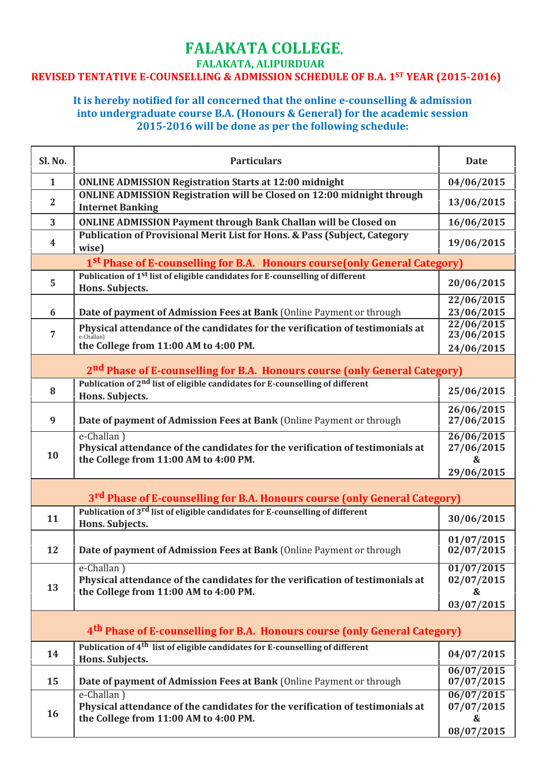## **FALAKATA COLLEGE,**

**FALAKATA, ALIPURDUAR**

## **REVISED TENTATIVE E-COUNSELLING & ADMISSION SCHEDULE OF B.A. 1ST YEAR (2015-2016)**

## **It is hereby notified for all concerned that the online e-counselling & admission into undergraduate course B.A. (Honours & General) for the academic session 2015-2016 will be done as per the following schedule:**

| Sl. No.          | <b>Particulars</b>                                                                                                                      | <b>Date</b>                                 |
|------------------|-----------------------------------------------------------------------------------------------------------------------------------------|---------------------------------------------|
| $\mathbf{1}$     | <b>ONLINE ADMISSION Registration Starts at 12:00 midnight</b>                                                                           | 04/06/2015                                  |
| $\overline{2}$   | <b>ONLINE ADMISSION Registration will be Closed on 12:00 midnight through</b><br><b>Internet Banking</b>                                | 13/06/2015                                  |
| 3                | <b>ONLINE ADMISSION Payment through Bank Challan will be Closed on</b>                                                                  | 16/06/2015                                  |
| $\boldsymbol{4}$ | Publication of Provisional Merit List for Hons. & Pass (Subject, Category<br>wise)                                                      | 19/06/2015                                  |
|                  | 1st Phase of E-counselling for B.A. Honours course (only General Category)                                                              |                                             |
| 5                | Publication of 1 <sup>st</sup> list of eligible candidates for E-counselling of different<br>Hons. Subjects.                            | 20/06/2015                                  |
|                  |                                                                                                                                         | 22/06/2015                                  |
| 6                | Date of payment of Admission Fees at Bank (Online Payment or through                                                                    | 23/06/2015                                  |
| $\overline{7}$   | Physical attendance of the candidates for the verification of testimonials at<br>e-Challan)                                             | 22/06/2015<br>23/06/2015                    |
|                  | the College from 11:00 AM to 4:00 PM.                                                                                                   | 24/06/2015                                  |
|                  |                                                                                                                                         |                                             |
|                  | 2 <sup>nd</sup> Phase of E-counselling for B.A. Honours course (only General Category)                                                  |                                             |
| 8                | Publication of 2 <sup>nd</sup> list of eligible candidates for E-counselling of different<br><b>Hons. Subjects.</b>                     | 25/06/2015                                  |
| 9                | Date of payment of Admission Fees at Bank (Online Payment or through                                                                    | 26/06/2015<br>27/06/2015                    |
| 10               | e-Challan)<br>Physical attendance of the candidates for the verification of testimonials at<br>the College from 11:00 AM to 4:00 PM.    | 26/06/2015<br>27/06/2015<br>&               |
|                  |                                                                                                                                         | 29/06/2015                                  |
|                  | 3 <sup>rd</sup> Phase of E-counselling for B.A. Honours course (only General Category)                                                  |                                             |
|                  | Publication of 3 <sup>rd</sup> list of eligible candidates for E-counselling of different                                               |                                             |
| 11               | Hons. Subjects.                                                                                                                         | 30/06/2015                                  |
|                  |                                                                                                                                         | 01/07/2015                                  |
| 12               | Date of payment of Admission Fees at Bank (Online Payment or through                                                                    | 02/07/2015                                  |
| 13               | e-Challan)<br>Physical attendance of the candidates for the verification of testimonials at<br>the College from 11:00 AM to 4:00 PM.    | 01/07/2015<br>02/07/2015<br>&<br>03/07/2015 |
|                  |                                                                                                                                         |                                             |
|                  | 4 <sup>th</sup> Phase of E-counselling for B.A. Honours course (only General Category)                                                  |                                             |
| 14               | Publication of 4 <sup>th</sup> list of eligible candidates for E-counselling of different<br><b>Hons. Subjects.</b>                     | 04/07/2015                                  |
| 15               | Date of payment of Admission Fees at Bank (Online Payment or through                                                                    | 06/07/2015<br>07/07/2015                    |
| 16               | $e$ -Challan)<br>Physical attendance of the candidates for the verification of testimonials at<br>the College from 11:00 AM to 4:00 PM. | 06/07/2015<br>07/07/2015<br>&<br>08/07/2015 |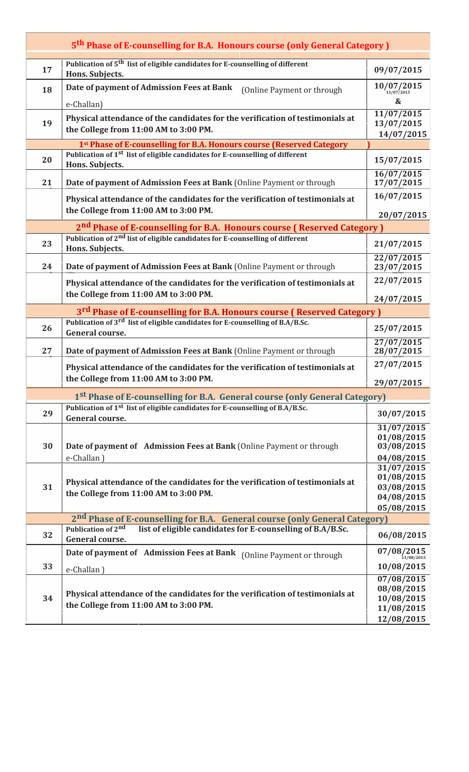| 5 <sup>th</sup> Phase of E-counselling for B.A. Honours course (only General Category)                                                                             |                                    |
|--------------------------------------------------------------------------------------------------------------------------------------------------------------------|------------------------------------|
| Publication of 5 <sup>th</sup> list of eligible candidates for E-counselling of different<br>17<br><b>Hons. Subjects.</b>                                          | 09/07/2015                         |
| Date of payment of Admission Fees at Bank<br>(Online Payment or through<br>18                                                                                      | $10/07/2015$ <sub>13/07/2015</sub> |
| e-Challan)                                                                                                                                                         | $\boldsymbol{\&}$                  |
| Physical attendance of the candidates for the verification of testimonials at<br>19<br>the College from 11:00 AM to 3:00 PM.                                       | 11/07/2015<br>13/07/2015           |
|                                                                                                                                                                    | 14/07/2015                         |
| 1st Phase of E-counselling for B.A. Honours course (Reserved Category<br>Publication of 1 <sup>st</sup> list of eligible candidates for E-counselling of different |                                    |
| 20<br>Hons. Subjects.                                                                                                                                              | 15/07/2015                         |
| Date of payment of Admission Fees at Bank (Online Payment or through<br>21                                                                                         | 16/07/2015<br>17/07/2015           |
| Physical attendance of the candidates for the verification of testimonials at                                                                                      | 16/07/2015                         |
| the College from 11:00 AM to 3:00 PM.                                                                                                                              | 20/07/2015                         |
| 2 <sup>nd</sup> Phase of E-counselling for B.A. Honours course (Reserved Category)                                                                                 |                                    |
| Publication of 2 <sup>nd</sup> list of eligible candidates for E-counselling of different<br>23<br>Hons. Subjects.                                                 | 21/07/2015                         |
| Date of payment of Admission Fees at Bank (Online Payment or through<br>24                                                                                         | 22/07/2015<br>23/07/2015           |
| Physical attendance of the candidates for the verification of testimonials at                                                                                      | 22/07/2015                         |
| the College from 11:00 AM to 3:00 PM.                                                                                                                              | 24/07/2015                         |
| 3 <sup>rd</sup> Phase of E-counselling for B.A. Honours course (Reserved Category)                                                                                 |                                    |
| Publication of 3 <sup>rd</sup> list of eligible candidates for E-counselling of B.A/B.Sc.<br>26                                                                    |                                    |
| General course.                                                                                                                                                    | 25/07/2015                         |
| 27<br>Date of payment of Admission Fees at Bank (Online Payment or through                                                                                         | 27/07/2015<br>28/07/2015           |
| Physical attendance of the candidates for the verification of testimonials at                                                                                      | 27/07/2015                         |
| the College from 11:00 AM to 3:00 PM.                                                                                                                              | 29/07/2015                         |
| 1 <sup>st</sup> Phase of E-counselling for B.A. General course (only General Category)                                                                             |                                    |
| Publication of 1 <sup>st</sup> list of eligible candidates for E-counselling of B.A/B.Sc.                                                                          |                                    |
| 29<br>General course.                                                                                                                                              | 30/07/2015                         |
|                                                                                                                                                                    | 31/07/2015                         |
| Date of payment of Admission Fees at Bank (Online Payment or through<br>30                                                                                         | 01/08/2015<br>03/08/2015           |
| e-Challan)                                                                                                                                                         | 04/08/2015                         |
|                                                                                                                                                                    | 31/07/2015                         |
|                                                                                                                                                                    | 01/08/2015                         |
| Physical attendance of the candidates for the verification of testimonials at<br>31                                                                                | 03/08/2015                         |
| the College from 11:00 AM to 3:00 PM.                                                                                                                              | 04/08/2015                         |
|                                                                                                                                                                    | 05/08/2015                         |
| 2 <sup>nd</sup> Phase of E-counselling for B.A. General course (only General Category)                                                                             |                                    |
| list of eligible candidates for E-counselling of B.A/B.Sc.<br>Publication of 2nd                                                                                   |                                    |
| 32<br>General course.                                                                                                                                              | 06/08/2015                         |
| Date of payment of Admission Fees at Bank (Online Payment or through                                                                                               | $07/08/2015$ <sub>11/08/2015</sub> |
| 33<br>e-Challan)                                                                                                                                                   | 10/08/2015                         |
|                                                                                                                                                                    | 07/08/2015                         |
| Physical attendance of the candidates for the verification of testimonials at                                                                                      | 08/08/2015                         |
| 34                                                                                                                                                                 | 10/08/2015                         |
| the College from 11:00 AM to 3:00 PM.                                                                                                                              | 11/08/2015                         |
|                                                                                                                                                                    | 12/08/2015                         |